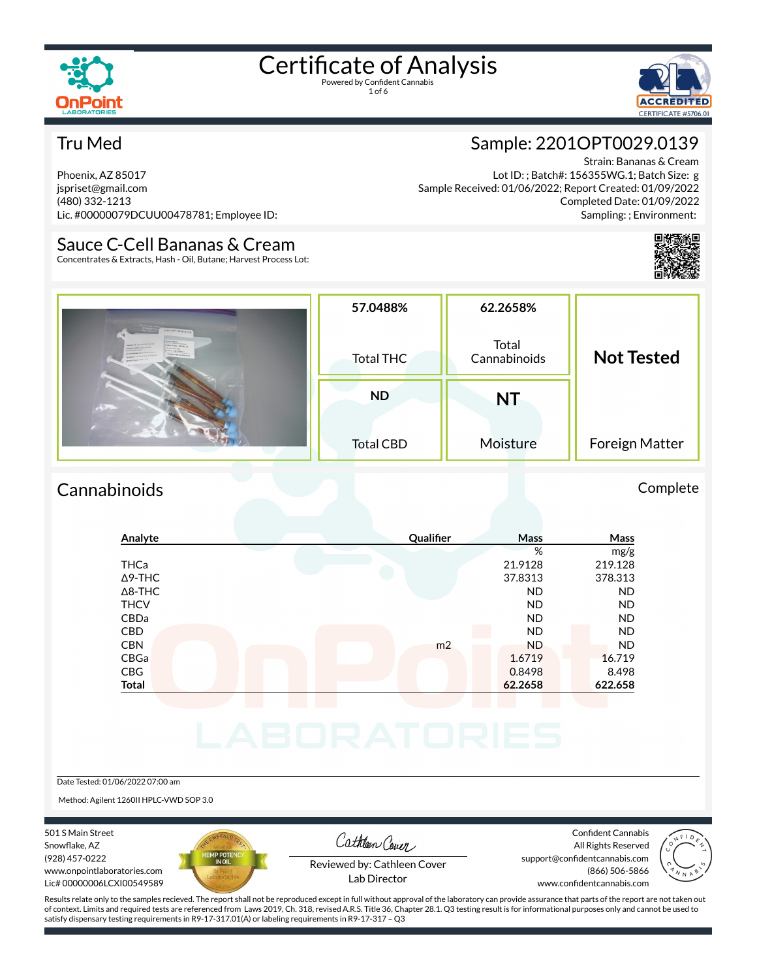

1 of 6



#### Tru Med

Phoenix, AZ 85017 jspriset@gmail.com (480) 332-1213 Lic. #00000079DCUU00478781; Employee ID:

#### Sauce C-Cell Bananas & Cream

Concentrates & Extracts, Hash - Oil, Butane; Harvest Process Lot:

#### Sample: 2201OPT0029.0139

Strain: Bananas & Cream Lot ID: ; Batch#: 156355WG.1; Batch Size: g Sample Received: 01/06/2022; Report Created: 01/09/2022 Completed Date: 01/09/2022 Sampling: ; Environment:



| 22010970029.0139<br><b>Brain Name</b><br><b>Criticismus &amp; Court</b><br>Sample 10: 20010FTP02LE<br>Gandlews 12/28. IV<br><b>Kample Market Source City</b><br><b>GRANT From that</b><br><b>PLE STATISTIC</b><br>THE NAME SERVICE S.C.<br><b>SOUTHERN USOSATES</b><br>weight Type: 14.100 | 57.0488%<br><b>Total THC</b> | 62.2658%<br>Total<br>Cannabinoids | <b>Not Tested</b> |  |
|--------------------------------------------------------------------------------------------------------------------------------------------------------------------------------------------------------------------------------------------------------------------------------------------|------------------------------|-----------------------------------|-------------------|--|
|                                                                                                                                                                                                                                                                                            | <b>ND</b>                    | <b>NT</b>                         |                   |  |
|                                                                                                                                                                                                                                                                                            | <b>Total CBD</b>             | Moisture                          | Foreign Matter    |  |

#### Cannabinoids Complete

#### **Analyte Quali×er Mass Mass** % mg/g THCa 21.9128 219.128 Δ9-THC 37.8313 378.313 Δ8-THC ND ND THCV ND ND CBDa ND ND CBD ND ND CBN m2 ND ND CBGa 1.6719 16.719 CBG 0.8498 8.498 **Total 62.2658 622.658**

#### Date Tested: 01/06/2022 07:00 am

Method: Agilent 1260II HPLC-VWD SOP 3.0

501 S Main Street Snowflake, AZ (928) 457-0222 www.onpointlaboratories.com Lic# 00000006LCXI00549589



Cathleen Cover

Confident Cannabis All Rights Reserved support@confidentcannabis.com (866) 506-5866



Reviewed by: Cathleen Cover Lab Director

www.confidentcannabis.com

Results relate only to the samples recieved. The report shall not be reproduced except in full without approval of the laboratory can provide assurance that parts of the report are not taken out of context. Limits and required tests are referenced from Laws 2019, Ch. 318, revised A.R.S. Title 36, Chapter 28.1. Q3 testing result is for informational purposes only and cannot be used to satisfy dispensary testing requirements in R9-17-317.01(A) or labeling requirements in R9-17-317 – Q3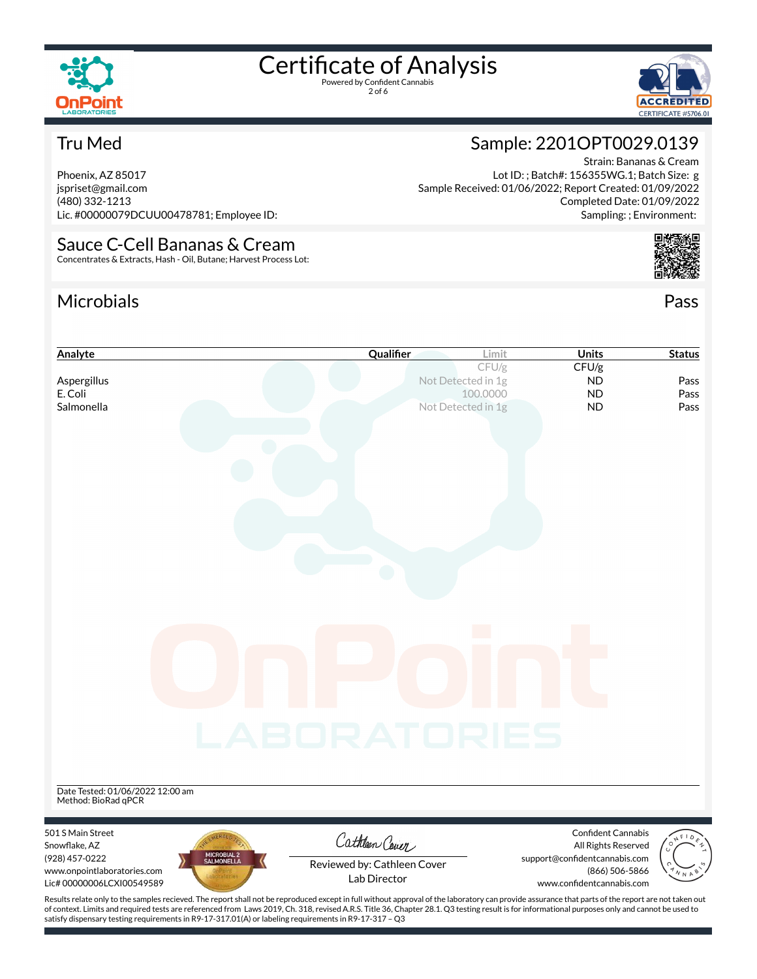

2 of 6



#### Tru Med

Phoenix, AZ 85017 jspriset@gmail.com (480) 332-1213 Lic. #00000079DCUU00478781; Employee ID:

#### Sauce C-Cell Bananas & Cream Concentrates & Extracts, Hash - Oil, Butane; Harvest Process Lot:

### Microbials Pass



Strain: Bananas & Cream

Completed Date: 01/09/2022

Sample: 2201OPT0029.0139

Sample Received: 01/06/2022; Report Created: 01/09/2022

Lot ID: ; Batch#: 156355WG.1; Batch Size: g

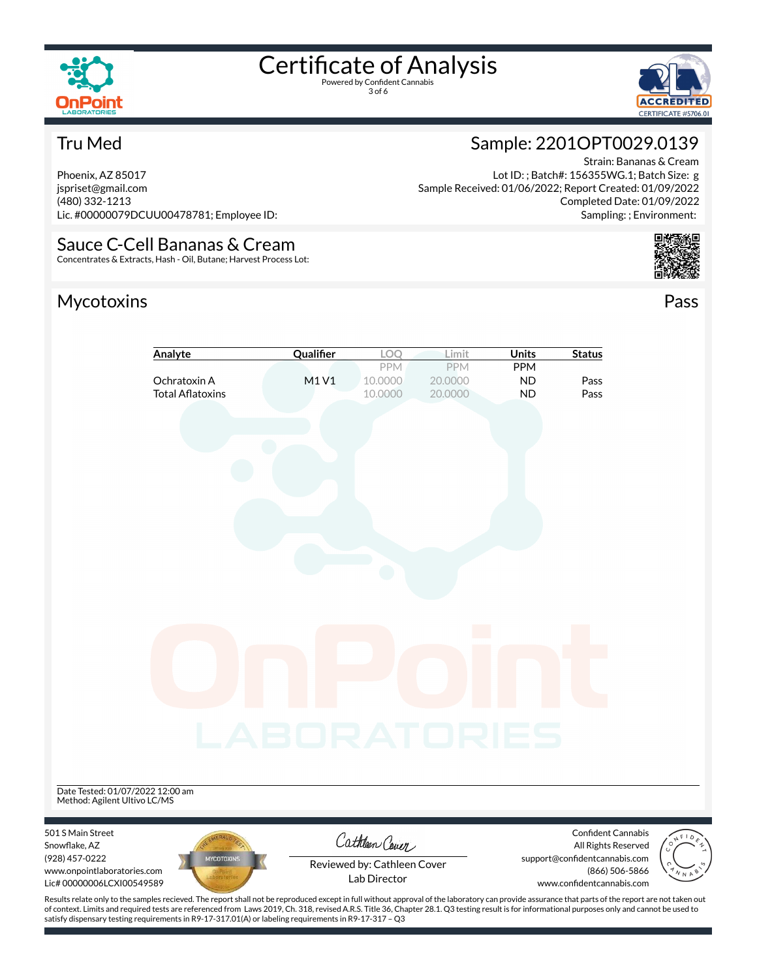

3 of 6



#### Tru Med

Phoenix, AZ 85017 jspriset@gmail.com (480) 332-1213 Lic. #00000079DCUU00478781; Employee ID:

Sauce C-Cell Bananas & Cream Concentrates & Extracts, Hash - Oil, Butane; Harvest Process Lot:

#### Mycotoxins Pass

## Sample: 2201OPT0029.0139

Strain: Bananas & Cream Lot ID: ; Batch#: 156355WG.1; Batch Size: g Sample Received: 01/06/2022; Report Created: 01/09/2022 Completed Date: 01/09/2022 Sampling: ; Environment:



| Analyte                                                                                         | Qualifier           | LOQ                                         | Limit                     | <b>Units</b>                  | <b>Status</b>                                   |  |
|-------------------------------------------------------------------------------------------------|---------------------|---------------------------------------------|---------------------------|-------------------------------|-------------------------------------------------|--|
| Ochratoxin A<br><b>Total Aflatoxins</b>                                                         | M1V1                | PPM<br>10.0000<br>10.0000                   | PPM<br>20.0000<br>20.0000 | PPM<br><b>ND</b><br><b>ND</b> | Pass<br>Pass                                    |  |
|                                                                                                 |                     |                                             |                           |                               |                                                 |  |
|                                                                                                 |                     |                                             |                           |                               |                                                 |  |
|                                                                                                 |                     |                                             |                           |                               |                                                 |  |
|                                                                                                 |                     |                                             |                           |                               |                                                 |  |
|                                                                                                 |                     |                                             |                           |                               |                                                 |  |
|                                                                                                 |                     |                                             |                           |                               |                                                 |  |
|                                                                                                 |                     |                                             |                           |                               |                                                 |  |
|                                                                                                 |                     |                                             |                           |                               |                                                 |  |
|                                                                                                 |                     |                                             |                           |                               |                                                 |  |
|                                                                                                 | <b>_ABORATORIES</b> |                                             |                           |                               |                                                 |  |
|                                                                                                 |                     |                                             |                           |                               |                                                 |  |
| Date Tested: 01/07/2022 12:00 am<br>Method: Agilent Ultivo LC/MS                                |                     |                                             |                           |                               |                                                 |  |
| 501 S Main Street<br>Snowflake, AZ                                                              |                     | Cathleen Cover                              |                           |                               | Confident Cannabis<br>All Rights Reserved       |  |
| (928) 457-0222<br><b>MYCOTOXINS</b><br>www.onpointlaboratories.com<br>Lic# 00000006LCXI00549589 |                     | Reviewed by: Cathleen Cover<br>Lab Director |                           | www.confidentcannabis.com     | support@confidentcannabis.com<br>(866) 506-5866 |  |

Results relate only to the samples recieved. The report shall not be reproduced except in full without approval of the laboratory can provide assurance that parts of the report are not taken out of context. Limits and required tests are referenced from Laws 2019, Ch. 318, revised A.R.S. Title 36, Chapter 28.1. Q3 testing result is for informational purposes only and cannot be used to satisfy dispensary testing requirements in R9-17-317.01(A) or labeling requirements in R9-17-317 – Q3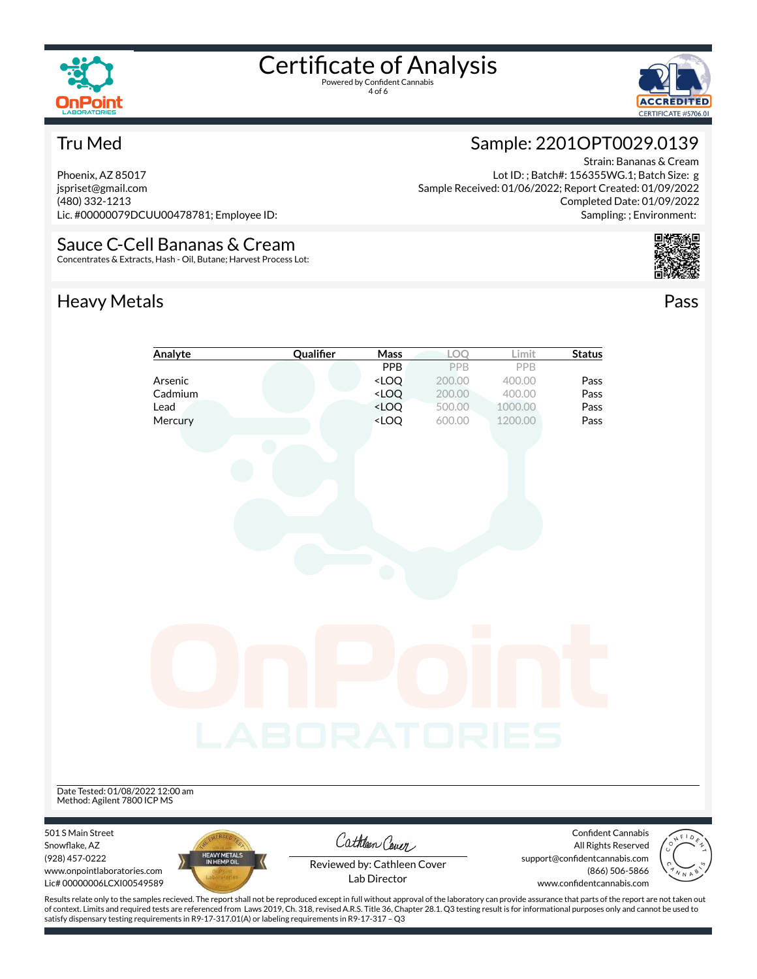

4 of 6



#### Tru Med

Phoenix, AZ 85017 jspriset@gmail.com (480) 332-1213 Lic. #00000079DCUU00478781; Employee ID:

Sauce C-Cell Bananas & Cream Concentrates & Extracts, Hash - Oil, Butane; Harvest Process Lot:

### Heavy Metals **Pass**

# Strain: Bananas & Cream

Lot ID: ; Batch#: 156355WG.1; Batch Size: g Sample Received: 01/06/2022; Report Created: 01/09/2022 Completed Date: 01/09/2022 Sampling: ; Environment:

Sample: 2201OPT0029.0139





of context. Limits and required tests are referenced from Laws 2019, Ch. 318, revised A.R.S. Title 36, Chapter 28.1. Q3 testing result is for informational purposes only and cannot be used to satisfy dispensary testing requirements in R9-17-317.01(A) or labeling requirements in R9-17-317 – Q3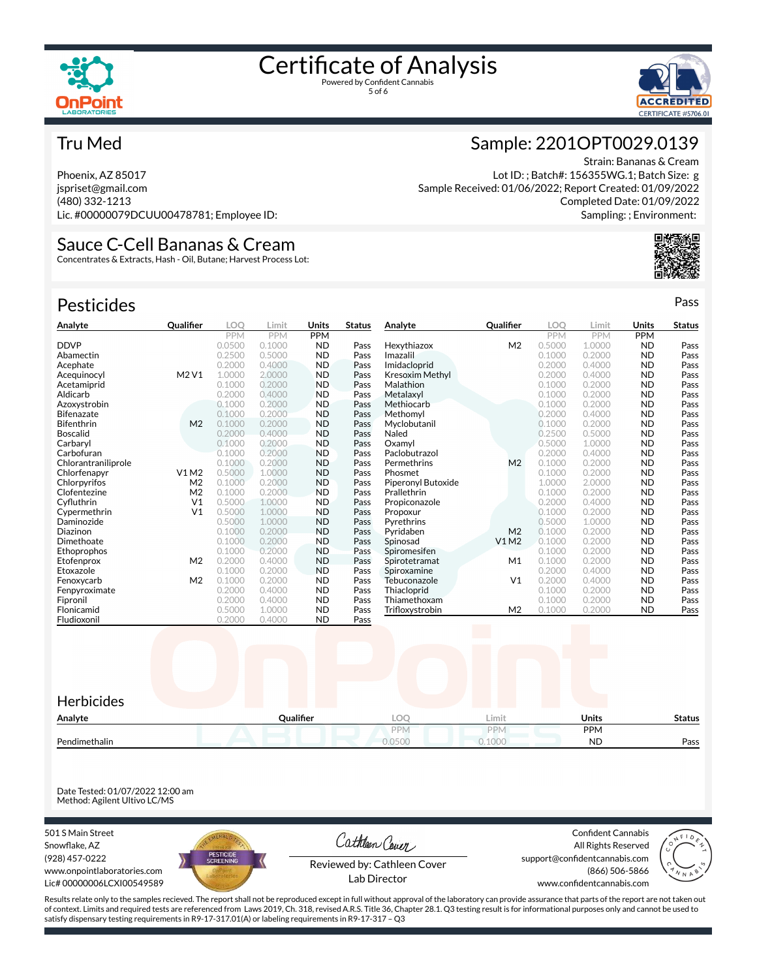



#### Tru Med

Phoenix, AZ 85017 jspriset@gmail.com (480) 332-1213 Lic. #00000079DCUU00478781; Employee ID:

## Sauce C-Cell Bananas & Cream

Concentrates & Extracts, Hash - Oil, Butane; Harvest Process Lot:

| <b>Pesticides</b>   |                  |            |            |            |               |                        |                  |            |            |            | Pass          |
|---------------------|------------------|------------|------------|------------|---------------|------------------------|------------------|------------|------------|------------|---------------|
| Analyte             | <b>Qualifier</b> | <b>LOO</b> | Limit      | Units      | <b>Status</b> | Analyte                | <b>Qualifier</b> | <b>LOO</b> | Limit      | Units      | <b>Status</b> |
|                     |                  | <b>PPM</b> | <b>PPM</b> | <b>PPM</b> |               |                        |                  | <b>PPM</b> | <b>PPM</b> | <b>PPM</b> |               |
| <b>DDVP</b>         |                  | 0.0500     | 0.1000     | <b>ND</b>  | Pass          | Hexythiazox            | M <sub>2</sub>   | 0.5000     | 1.0000     | <b>ND</b>  | Pass          |
| Abamectin           |                  | 0.2500     | 0.5000     | <b>ND</b>  | Pass          | Imazalil               |                  | 0.1000     | 0.2000     | <b>ND</b>  | Pass          |
| Acephate            |                  | 0.2000     | 0.4000     | <b>ND</b>  | Pass          | Imidacloprid           |                  | 0.2000     | 0.4000     | <b>ND</b>  | Pass          |
| Acequinocyl         | M2 V1            | 1.0000     | 2,0000     | <b>ND</b>  | Pass          | <b>Kresoxim Methyl</b> |                  | 0.2000     | 0.4000     | <b>ND</b>  | Pass          |
| Acetamiprid         |                  | 0.1000     | 0.2000     | <b>ND</b>  | Pass          | Malathion              |                  | 0.1000     | 0.2000     | <b>ND</b>  | Pass          |
| Aldicarb            |                  | 0.2000     | 0.4000     | <b>ND</b>  | Pass          | Metalaxyl              |                  | 0.1000     | 0.2000     | <b>ND</b>  | Pass          |
| Azoxystrobin        |                  | 0.1000     | 0.2000     | <b>ND</b>  | Pass          | Methiocarb             |                  | 0.1000     | 0.2000     | <b>ND</b>  | Pass          |
| <b>Bifenazate</b>   |                  | 0.1000     | 0.2000     | <b>ND</b>  | Pass          | Methomyl               |                  | 0.2000     | 0.4000     | <b>ND</b>  | Pass          |
| Bifenthrin          | M <sub>2</sub>   | 0.1000     | 0.2000     | <b>ND</b>  | Pass          | Myclobutanil           |                  | 0.1000     | 0.2000     | <b>ND</b>  | Pass          |
| <b>Boscalid</b>     |                  | 0.2000     | 0.4000     | <b>ND</b>  | Pass          | Naled                  |                  | 0.2500     | 0.5000     | <b>ND</b>  | Pass          |
| Carbaryl            |                  | 0.1000     | 0.2000     | <b>ND</b>  | Pass          | Oxamvl                 |                  | 0.5000     | 1.0000     | <b>ND</b>  | Pass          |
| Carbofuran          |                  | 0.1000     | 0.2000     | <b>ND</b>  | Pass          | Paclobutrazol          |                  | 0.2000     | 0.4000     | <b>ND</b>  | Pass          |
| Chlorantraniliprole |                  | 0.1000     | 0.2000     | <b>ND</b>  | Pass          | Permethrins            | M <sub>2</sub>   | 0.1000     | 0.2000     | <b>ND</b>  | Pass          |
| Chlorfenapyr        | V1M2             | 0.5000     | 1.0000     | <b>ND</b>  | Pass          | Phosmet                |                  | 0.1000     | 0.2000     | <b>ND</b>  | Pass          |
| Chlorpyrifos        | M <sub>2</sub>   | 0.1000     | 0.2000     | <b>ND</b>  | Pass          | Piperonyl Butoxide     |                  | 1.0000     | 2.0000     | <b>ND</b>  | Pass          |
| Clofentezine        | M <sub>2</sub>   | 0.1000     | 0.2000     | <b>ND</b>  | Pass          | Prallethrin            |                  | 0.1000     | 0.2000     | <b>ND</b>  | Pass          |
| Cyfluthrin          | V <sub>1</sub>   | 0.5000     | 1.0000     | <b>ND</b>  | Pass          | Propiconazole          |                  | 0.2000     | 0.4000     | <b>ND</b>  | Pass          |
| Cypermethrin        | V <sub>1</sub>   | 0.5000     | 1.0000     | <b>ND</b>  | Pass          | Propoxur               |                  | 0.1000     | 0.2000     | <b>ND</b>  | Pass          |
| Daminozide          |                  | 0.5000     | 1.0000     | <b>ND</b>  | Pass          | Pyrethrins             |                  | 0.5000     | 1.0000     | <b>ND</b>  | Pass          |
| Diazinon            |                  | 0.1000     | 0.2000     | <b>ND</b>  | Pass          | Pyridaben              | M <sub>2</sub>   | 0.1000     | 0.2000     | <b>ND</b>  | Pass          |
| Dimethoate          |                  | 0.1000     | 0.2000     | <b>ND</b>  | Pass          | Spinosad               | V1 M2            | 0.1000     | 0.2000     | <b>ND</b>  | Pass          |
| Ethoprophos         |                  | 0.1000     | 0.2000     | <b>ND</b>  | Pass          | Spiromesifen           |                  | 0.1000     | 0.2000     | <b>ND</b>  | Pass          |
| Etofenprox          | M <sub>2</sub>   | 0.2000     | 0.4000     | <b>ND</b>  | Pass          | Spirotetramat          | M1               | 0.1000     | 0.2000     | <b>ND</b>  | Pass          |
| Etoxazole           |                  | 0.1000     | 0.2000     | <b>ND</b>  | Pass          | Spiroxamine            |                  | 0.2000     | 0.4000     | <b>ND</b>  | Pass          |
| Fenoxycarb          | M <sub>2</sub>   | 0.1000     | 0.2000     | <b>ND</b>  | Pass          | Tebuconazole           | V <sub>1</sub>   | 0.2000     | 0.4000     | <b>ND</b>  | Pass          |
| Fenpyroximate       |                  | 0.2000     | 0.4000     | <b>ND</b>  | Pass          | Thiacloprid            |                  | 0.1000     | 0.2000     | <b>ND</b>  | Pass          |
| Fipronil            |                  | 0.2000     | 0.4000     | <b>ND</b>  | Pass          | Thiamethoxam           |                  | 0.1000     | 0.2000     | <b>ND</b>  | Pass          |
| Flonicamid          |                  | 0.5000     | 1.0000     | <b>ND</b>  | Pass          | Trifloxystrobin        | M <sub>2</sub>   | 0.1000     | 0.2000     | <b>ND</b>  | Pass          |
| Fludioxonil         |                  | 0.2000     | 0.4000     | <b>ND</b>  | Pass          |                        |                  |            |            |            |               |



Date Tested: 01/07/2022 12:00 am Method: Agilent Ultivo LC/MS

501 S Main Street Snowflake, AZ (928) 457-0222 www.onpointlaboratories.com Lic# 00000006LCXI00549589



Cathleen Cover

Confident Cannabis All Rights Reserved support@confidentcannabis.com (866) 506-5866



Reviewed by: Cathleen Cover Lab Director

www.confidentcannabis.com

Results relate only to the samples recieved. The report shall not be reproduced except in full without approval of the laboratory can provide assurance that parts of the report are not taken out of context. Limits and required tests are referenced from Laws 2019, Ch. 318, revised A.R.S. Title 36, Chapter 28.1. Q3 testing result is for informational purposes only and cannot be used to satisfy dispensary testing requirements in R9-17-317.01(A) or labeling requirements in R9-17-317 – Q3

#### Sample: 2201OPT0029.0139

Strain: Bananas & Cream Lot ID: ; Batch#: 156355WG.1; Batch Size: g Sample Received: 01/06/2022; Report Created: 01/09/2022 Completed Date: 01/09/2022 Sampling: ; Environment: